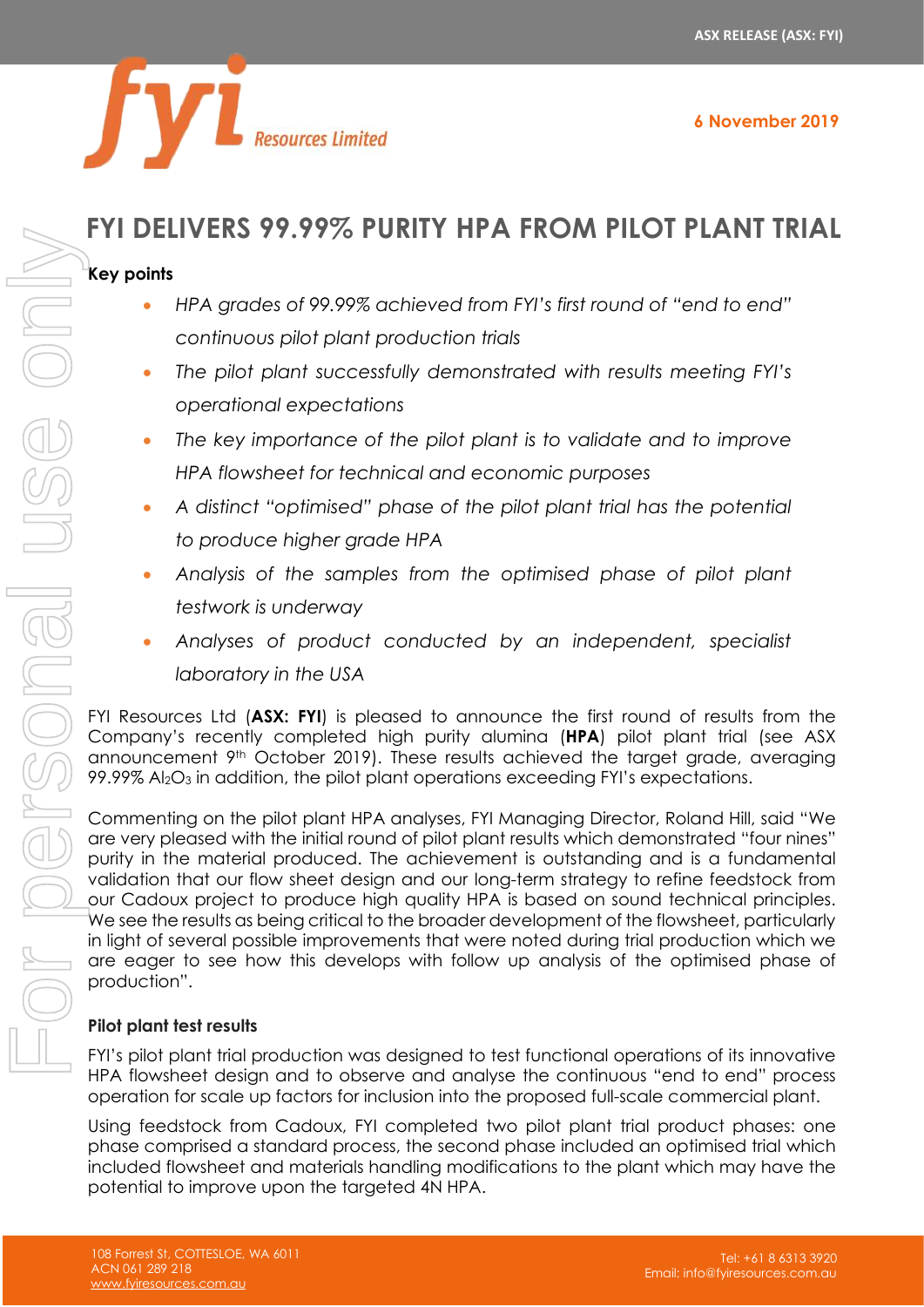

## **FYI DELIVERS 99.99% PURITY HPA FROM PILOT PLANT TRIAL**

#### **Key points**

- *HPA grades of 99.99% achieved from FYI's first round of "end to end" continuous pilot plant production trials*
- The pilot plant successfully demonstrated with results meeting *FYI's operational expectations*
- *The key importance of the pilot plant is to validate and to improve HPA flowsheet for technical and economic purposes*
- *A distinct "optimised" phase of the pilot plant trial has the potential to produce higher grade HPA*
- *Analysis of the samples from the optimised phase of pilot plant testwork is underway*
- *Analyses of product conducted by an independent, specialist laboratory in the USA*

FYI Resources Ltd (**ASX: FYI**) is pleased to announce the first round of results from the Company's recently completed high purity alumina (**HPA**) pilot plant trial (see ASX announcement 9th October 2019). These results achieved the target grade, averaging 99.99% Al2O<sup>3</sup> in addition, the pilot plant operations exceeding FYI's expectations.

Commenting on the pilot plant HPA analyses, FYI Managing Director, Roland Hill, said "We are very pleased with the initial round of pilot plant results which demonstrated "four nines" purity in the material produced. The achievement is outstanding and is a fundamental validation that our flow sheet design and our long-term strategy to refine feedstock from our Cadoux project to produce high quality HPA is based on sound technical principles. We see the results as being critical to the broader development of the flowsheet, particularly in light of several possible improvements that were noted during trial production which we are eager to see how this develops with follow up analysis of the optimised phase of production". **EXECUTE AS 77.77% FORIFF THE SECUTE AS 77.77% FORIFF THE SURFAS TO SPACE THE SURFACE CONDITED THE A flower of the pilot portoconomistic to the pilot portoconomist of the target of the target of the target of the target of** 

### **Pilot plant test results**

FYI's pilot plant trial production was designed to test functional operations of its innovative HPA flowsheet design and to observe and analyse the continuous "end to end" process operation for scale up factors for inclusion into the proposed full-scale commercial plant.

Using feedstock from Cadoux, FYI completed two pilot plant trial product phases: one phase comprised a standard process, the second phase included an optimised trial which included flowsheet and materials handling modifications to the plant which may have the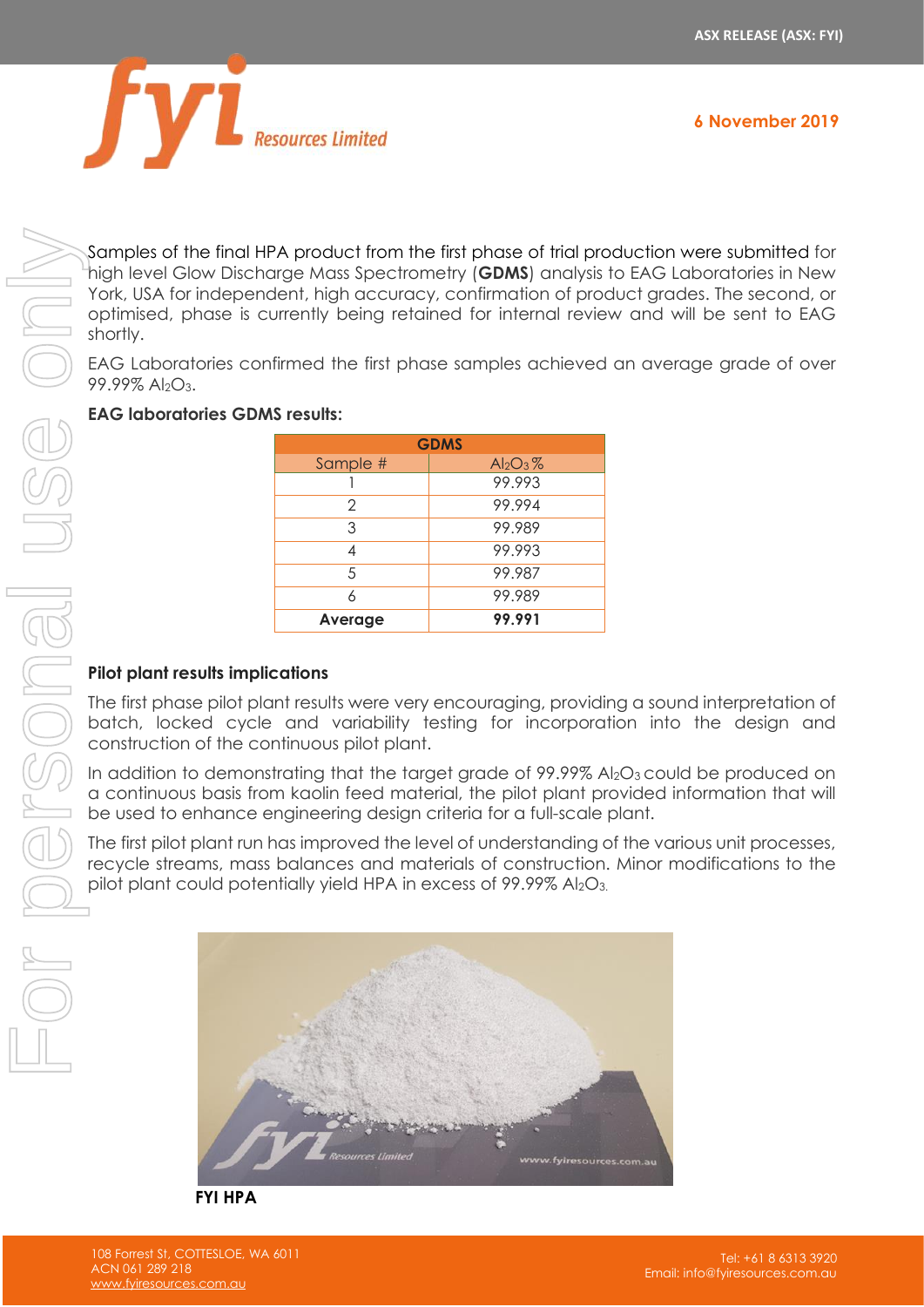

Samples of the final HPA product from the first phase of trial production were submitted for high level Glow Discharge Mass Spectrometry (**GDMS**) analysis to EAG Laboratories in New York, USA for independent, high accuracy, confirmation of product grades. The second, or optimised, phase is currently being retained for internal review and will be sent to EAG shortly.

EAG Laboratories confirmed the first phase samples achieved an average grade of over 99.99% Al2O3.

#### **EAG laboratories GDMS results:**

| <b>GDMS</b> |             |  |
|-------------|-------------|--|
| Sample #    | $Al_2O_3\%$ |  |
|             | 99.993      |  |
| 2           | 99.994      |  |
| 3           | 99.989      |  |
|             | 99.993      |  |
| 5           | 99.987      |  |
|             | 99.989      |  |
| Average     | 99.991      |  |

### **Pilot plant results implications**

The first phase pilot plant results were very encouraging, providing a sound interpretation of batch, locked cycle and variability testing for incorporation into the design and construction of the continuous pilot plant.

In addition to demonstrating that the target grade of 99.99% Al<sub>2</sub>O<sub>3</sub> could be produced on a continuous basis from kaolin feed material, the pilot plant provided information that will be used to enhance engineering design criteria for a full-scale plant.

The first pilot plant run has improved the level of understanding of the various unit processes, recycle streams, mass balances and materials of construction. Minor modifications to the pilot plant could potentially yield HPA in excess of 99.99% Al<sub>2</sub>O<sub>3</sub>.



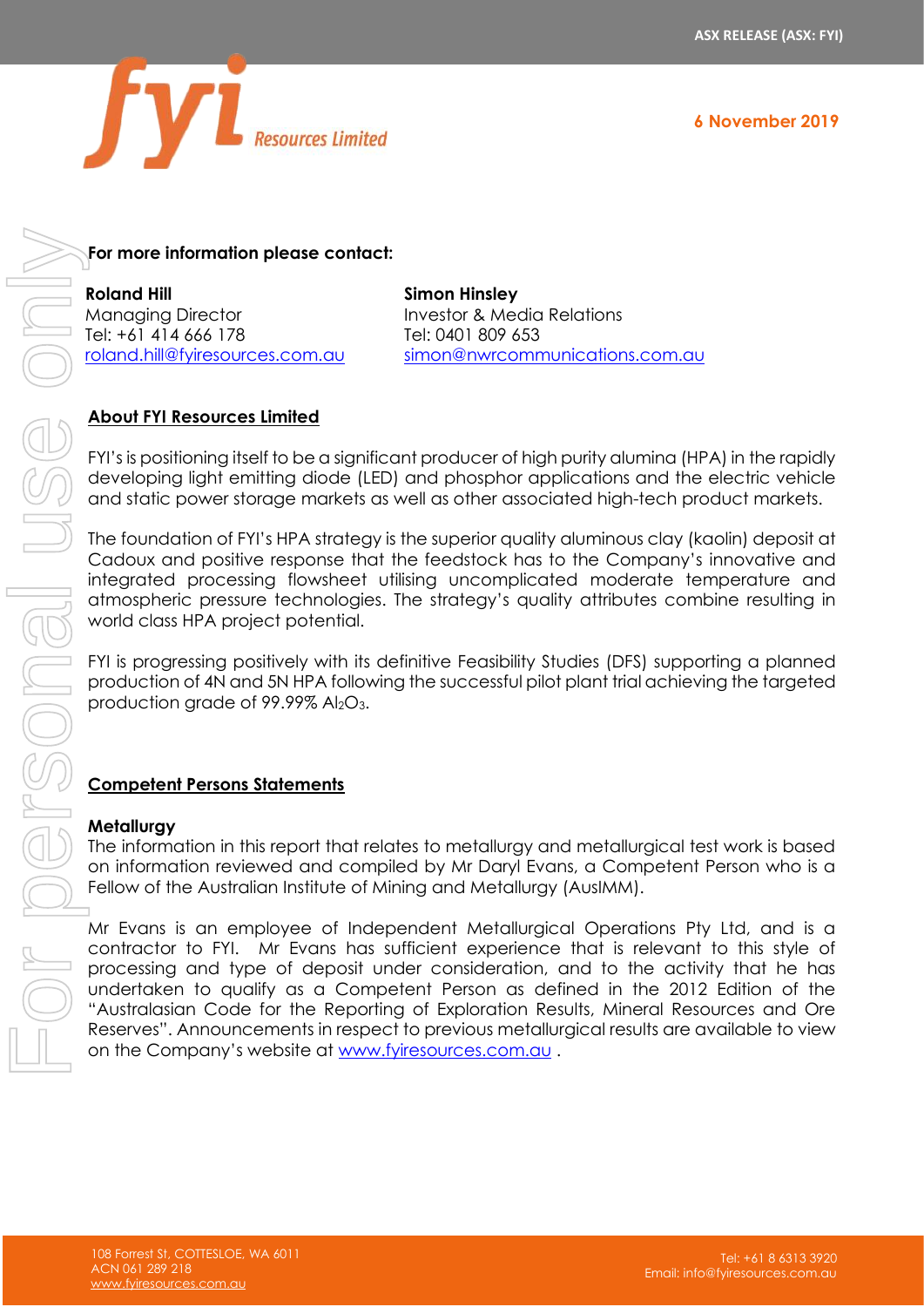

**6 November 2019**

## **For more information please contact:**

**Roland Hill** Managing Director Tel: +61 414 666 178 [roland.hill@fyiresources.com.au](mailto:roland.hill@fyiresources.com.au) **Simon Hinsley** Investor & Media Relations Tel: 0401 809 653 [simon@nwrcommunications.com.au](mailto:simon@nwrcommunications.com.au)

## **About FYI Resources Limited**

FYI's is positioning itself to be a significant producer of high purity alumina (HPA) in the rapidly developing light emitting diode (LED) and phosphor applications and the electric vehicle and static power storage markets as well as other associated high-tech product markets.

The foundation of FYI's HPA strategy is the superior quality aluminous clay (kaolin) deposit at Cadoux and positive response that the feedstock has to the Company's innovative and integrated processing flowsheet utilising uncomplicated moderate temperature and atmospheric pressure technologies. The strategy's quality attributes combine resulting in world class HPA project potential.

FYI is progressing positively with its definitive Feasibility Studies (DFS) supporting a planned production of 4N and 5N HPA following the successful pilot plant trial achieving the targeted production grade of 99.99% Al<sub>2</sub>O<sub>3</sub>.

### **Competent Persons Statements**

#### **Metallurgy**

The information in this report that relates to metallurgy and metallurgical test work is based on information reviewed and compiled by Mr Daryl Evans, a Competent Person who is a Fellow of the Australian Institute of Mining and Metallurgy (AusIMM).

Mr Evans is an employee of Independent Metallurgical Operations Pty Ltd, and is a contractor to FYI. Mr Evans has sufficient experience that is relevant to this style of processing and type of deposit under consideration, and to the activity that he has undertaken to qualify as a Competent Person as defined in the 2012 Edition of the "Australasian Code for the Reporting of Exploration Results, Mineral Resources and Ore For more information please contact:<br>
Monventing Urice to previous metallure in respect to a respect to the previous metallure of the previous metallure of the companies of the companies of the companies of the companies o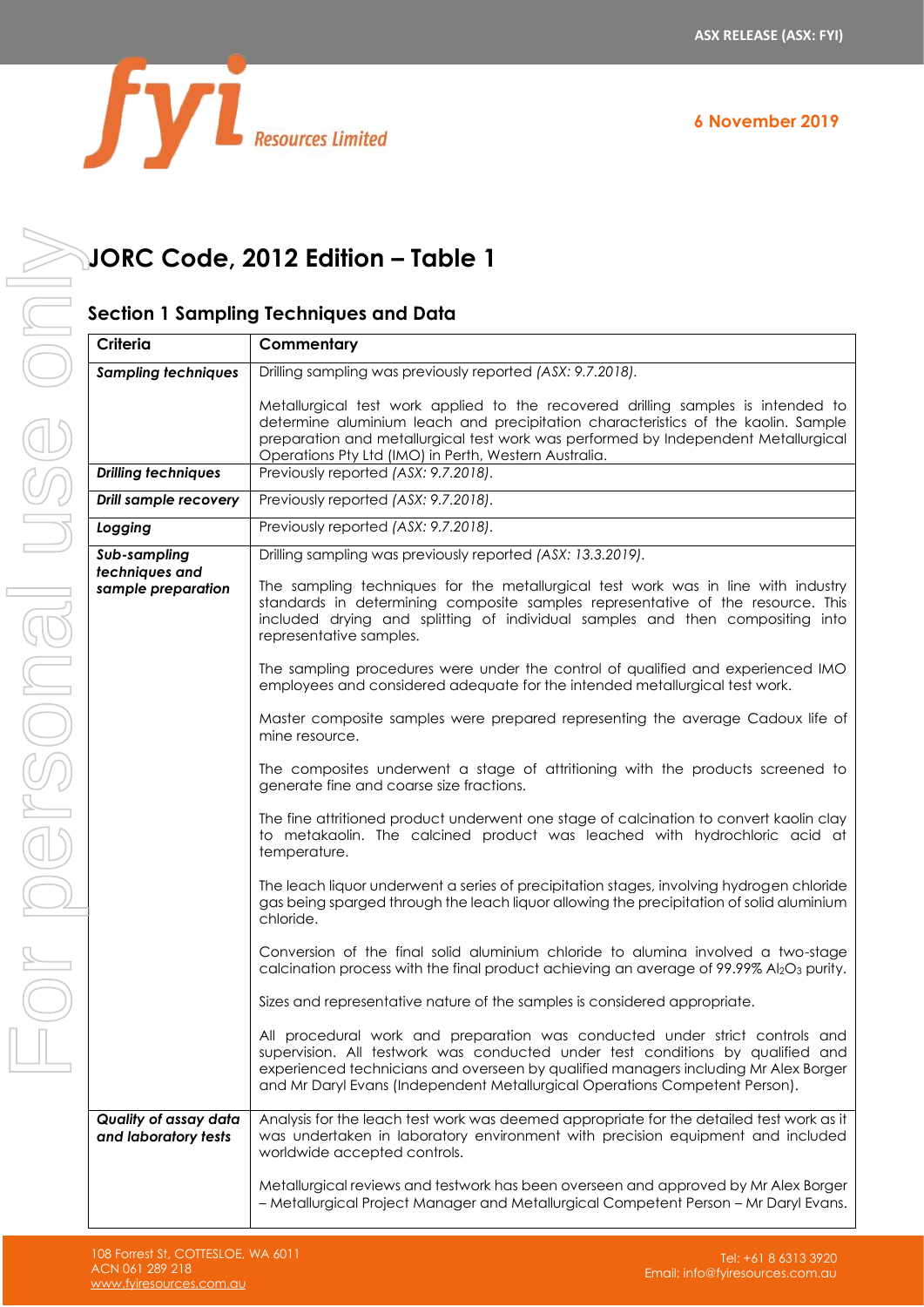

|  | <b>Resources Limited</b> |
|--|--------------------------|

# **JORC Code, 2012 Edition – Table 1**

## **Section 1 Sampling Techniques and Data**

| Criteria                                      | Commentary                                                                                                                                                                                                                                                                                                                          |
|-----------------------------------------------|-------------------------------------------------------------------------------------------------------------------------------------------------------------------------------------------------------------------------------------------------------------------------------------------------------------------------------------|
| <b>Sampling techniques</b>                    | Drilling sampling was previously reported (ASX: 9.7.2018).                                                                                                                                                                                                                                                                          |
|                                               | Metallurgical test work applied to the recovered drilling samples is intended to<br>determine aluminium leach and precipitation characteristics of the kaolin. Sample<br>preparation and metallurgical test work was performed by Independent Metallurgical<br>Operations Pty Ltd (IMO) in Perth, Western Australia.                |
| <b>Drilling techniques</b>                    | Previously reported (ASX: 9.7.2018).                                                                                                                                                                                                                                                                                                |
| <b>Drill sample recovery</b>                  | Previously reported (ASX: 9.7.2018).                                                                                                                                                                                                                                                                                                |
| Logging                                       | Previously reported (ASX: 9.7.2018).                                                                                                                                                                                                                                                                                                |
| Sub-sampling<br>techniques and                | Drilling sampling was previously reported (ASX: 13.3.2019).                                                                                                                                                                                                                                                                         |
| sample preparation                            | The sampling techniques for the metallurgical test work was in line with industry<br>standards in determining composite samples representative of the resource. This<br>included drying and splitting of individual samples and then compositing into<br>representative samples.                                                    |
|                                               | The sampling procedures were under the control of qualified and experienced IMO<br>employees and considered adequate for the intended metallurgical test work.                                                                                                                                                                      |
|                                               | Master composite samples were prepared representing the average Cadoux life of<br>mine resource.                                                                                                                                                                                                                                    |
|                                               | The composites underwent a stage of attritioning with the products screened to<br>generate fine and coarse size fractions.                                                                                                                                                                                                          |
|                                               | The fine attritioned product underwent one stage of calcination to convert kaolin clay<br>to metakaolin. The calcined product was leached with hydrochloric acid at<br>temperature.                                                                                                                                                 |
|                                               | The leach liquor underwent a series of precipitation stages, involving hydrogen chloride<br>gas being sparged through the leach liquor allowing the precipitation of solid aluminium<br>chloride.                                                                                                                                   |
|                                               | Conversion of the final solid aluminium chloride to alumina involved a two-stage<br>calcination process with the final product achieving an average of 99.99% Al2O3 purity.                                                                                                                                                         |
|                                               | Sizes and representative nature of the samples is considered appropriate.                                                                                                                                                                                                                                                           |
|                                               | All procedural work and preparation was conducted under strict controls and<br>supervision. All testwork was conducted under test conditions by qualified and<br>experienced technicians and overseen by qualified managers including Mr Alex Borger<br>and Mr Daryl Evans (Independent Metallurgical Operations Competent Person). |
| Quality of assay data<br>and laboratory tests | Analysis for the leach test work was deemed appropriate for the detailed test work as it<br>was undertaken in laboratory environment with precision equipment and included<br>worldwide accepted controls.                                                                                                                          |
|                                               | Metallurgical reviews and testwork has been overseen and approved by Mr Alex Borger<br>- Metallurgical Project Manager and Metallurgical Competent Person - Mr Daryl Evans.                                                                                                                                                         |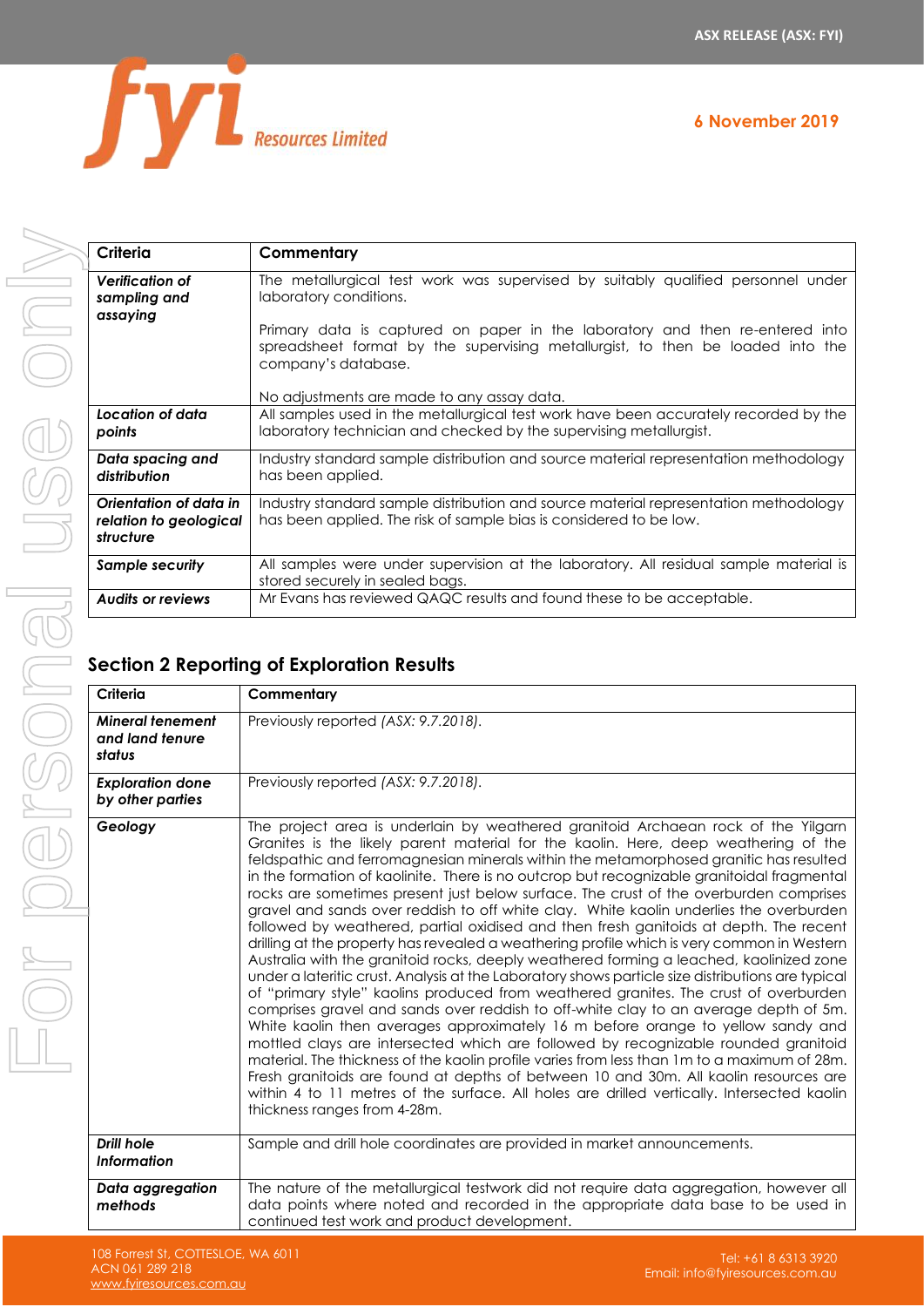**6 November 2019**



| Criteria                                                      | Commentary                                                                                                                                                                                                                          |
|---------------------------------------------------------------|-------------------------------------------------------------------------------------------------------------------------------------------------------------------------------------------------------------------------------------|
| <b>Verification of</b><br>sampling and<br>assaying            | The metallurgical test work was supervised by suitably qualified personnel under<br>laboratory conditions.                                                                                                                          |
|                                                               | Primary data is captured on paper in the laboratory and then re-entered into<br>spreadsheet format by the supervising metallurgist, to then be loaded into the<br>company's database.<br>No adjustments are made to any assay data. |
| Location of data<br>points                                    | All samples used in the metallurgical test work have been accurately recorded by the<br>laboratory technician and checked by the supervising metallurgist.                                                                          |
| Data spacing and<br>distribution                              | Industry standard sample distribution and source material representation methodology<br>has been applied.                                                                                                                           |
| Orientation of data in<br>relation to geological<br>structure | Industry standard sample distribution and source material representation methodology<br>has been applied. The risk of sample bias is considered to be low.                                                                          |
| <b>Sample security</b>                                        | All samples were under supervision at the laboratory. All residual sample material is<br>stored securely in sealed bags.                                                                                                            |
| <b>Audits or reviews</b>                                      | Mr Evans has reviewed QAQC results and found these to be acceptable.                                                                                                                                                                |

## **Section 2 Reporting of Exploration Results**

| Criteria                                             | Commentary                                                                                                                                                                                                                                                                                                                                                                                                                                                                                                                                                                                                                                                                                                                                                                                                                                                                                                                                                                                                                                                                                                                                                                                                                                                                                                                                                                                                                                                                                                                                                                                                               |
|------------------------------------------------------|--------------------------------------------------------------------------------------------------------------------------------------------------------------------------------------------------------------------------------------------------------------------------------------------------------------------------------------------------------------------------------------------------------------------------------------------------------------------------------------------------------------------------------------------------------------------------------------------------------------------------------------------------------------------------------------------------------------------------------------------------------------------------------------------------------------------------------------------------------------------------------------------------------------------------------------------------------------------------------------------------------------------------------------------------------------------------------------------------------------------------------------------------------------------------------------------------------------------------------------------------------------------------------------------------------------------------------------------------------------------------------------------------------------------------------------------------------------------------------------------------------------------------------------------------------------------------------------------------------------------------|
| <b>Mineral tenement</b><br>and land tenure<br>status | Previously reported (ASX: 9.7.2018).                                                                                                                                                                                                                                                                                                                                                                                                                                                                                                                                                                                                                                                                                                                                                                                                                                                                                                                                                                                                                                                                                                                                                                                                                                                                                                                                                                                                                                                                                                                                                                                     |
| <b>Exploration done</b><br>by other parties          | Previously reported (ASX: 9.7.2018).                                                                                                                                                                                                                                                                                                                                                                                                                                                                                                                                                                                                                                                                                                                                                                                                                                                                                                                                                                                                                                                                                                                                                                                                                                                                                                                                                                                                                                                                                                                                                                                     |
| Geology                                              | The project area is underlain by weathered granitoid Archaean rock of the Yilgarn<br>Granites is the likely parent material for the kaolin. Here, deep weathering of the<br>feldspathic and ferromagnesian minerals within the metamorphosed granitic has resulted<br>in the formation of kaolinite. There is no outcrop but recognizable granitoidal fragmental<br>rocks are sometimes present just below surface. The crust of the overburden comprises<br>gravel and sands over reddish to off white clay. White kaolin underlies the overburden<br>followed by weathered, partial oxidised and then fresh ganitoids at depth. The recent<br>drilling at the property has revealed a weathering profile which is very common in Western<br>Australia with the granitoid rocks, deeply weathered forming a leached, kaolinized zone<br>under a lateritic crust. Analysis at the Laboratory shows particle size distributions are typical<br>of "primary style" kaolins produced from weathered granites. The crust of overburden<br>comprises gravel and sands over reddish to off-white clay to an average depth of 5m.<br>White kaolin then averages approximately 16 m before orange to yellow sandy and<br>mottled clays are intersected which are followed by recognizable rounded granitoid<br>material. The thickness of the kaolin profile varies from less than 1m to a maximum of 28m.<br>Fresh granitoids are found at depths of between 10 and 30m. All kaolin resources are<br>within 4 to 11 metres of the surface. All holes are drilled vertically. Intersected kaolin<br>thickness ranges from 4-28m. |
| Drill hole<br><b>Information</b>                     | Sample and drill hole coordinates are provided in market announcements.                                                                                                                                                                                                                                                                                                                                                                                                                                                                                                                                                                                                                                                                                                                                                                                                                                                                                                                                                                                                                                                                                                                                                                                                                                                                                                                                                                                                                                                                                                                                                  |
| Data aggregation<br>methods                          | The nature of the metallurgical testwork did not require data aggregation, however all<br>data points where noted and recorded in the appropriate data base to be used in<br>continued test work and product development.                                                                                                                                                                                                                                                                                                                                                                                                                                                                                                                                                                                                                                                                                                                                                                                                                                                                                                                                                                                                                                                                                                                                                                                                                                                                                                                                                                                                |